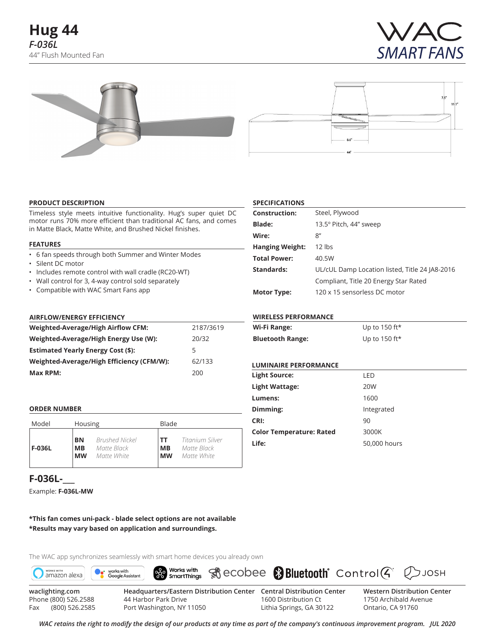



## **PRODUCT DESCRIPTION**

Timeless style meets intuitive functionality. Hug's super quiet DC motor runs 70% more efficient than traditional AC fans, and comes in Matte Black, Matte White, and Brushed Nickel finishes.

#### **FEATURES**

- 6 fan speeds through both Summer and Winter Modes
- Silent DC motor
- Includes remote control with wall cradle (RC20-WT)
- Wall control for 3, 4-way control sold separately
- Compatible with WAC Smart Fans app

### **AIRFLOW/ENERGY EFFICIENCY**

| Weighted-Average/High Airflow CFM:        | 2187/3619 |
|-------------------------------------------|-----------|
| Weighted-Average/High Energy Use (W):     | 20/32     |
| <b>Estimated Yearly Energy Cost (\$):</b> | 5         |
| Weighted-Average/High Efficiency (CFM/W): | 62/133    |
| Max RPM:                                  | 200       |

### **ORDER NUMBER**

| Model         | Housing   |                       | Blade     |                 |
|---------------|-----------|-----------------------|-----------|-----------------|
| <b>F-036L</b> | BN        | <b>Brushed Nickel</b> | тт        | Titanium Silver |
|               | MВ        | Matte Black           | <b>MB</b> | Matte Black     |
|               | <b>MW</b> | Matte White           | <b>MW</b> | Matte White     |

# **F-036L-\_\_\_**

Example: **F-036L-MW**

**\*This fan comes uni-pack - blade select options are not available \*Results may vary based on application and surroundings.**

The WAC app synchronizes seamlessly with smart home devices you already own



Fax (800) 526.2585 Port Washington, NY 11050 Lithia Springs, GA 30122 Ontario, CA 91760

**SPECIFICATIONS**

| <b>Construction:</b> | Steel, Plywood                                 |
|----------------------|------------------------------------------------|
| <b>Blade:</b>        | 13.5° Pitch, 44" sweep                         |
| Wire:                | 8''                                            |
| Hanging Weight:      | $12$ lbs                                       |
| Total Power:         | 40.5W                                          |
| <b>Standards:</b>    | UL/cUL Damp Location listed, Title 24 JA8-2016 |
|                      | Compliant, Title 20 Energy Star Rated          |
| <b>Motor Type:</b>   | 120 x 15 sensorless DC motor                   |

### **WIRELESS PERFORMANCE**

| Wi-Fi Range:            | Up to 150 ft* |
|-------------------------|---------------|
| <b>Bluetooth Range:</b> | Up to 150 ft* |

## **LUMINAIRE PERFORMANCE**

| <b>Light Source:</b>            | LED          |
|---------------------------------|--------------|
| Light Wattage:                  | 20W          |
| Lumens:                         | 1600         |
| Dimming:                        | Integrated   |
| CRI:                            | 90           |
| <b>Color Temperature: Rated</b> | 3000K        |
| Life:                           | 50,000 hours |
|                                 |              |

*WAC retains the right to modify the design of our products at any time as part of the company's continuous improvement program. Jul 2020*